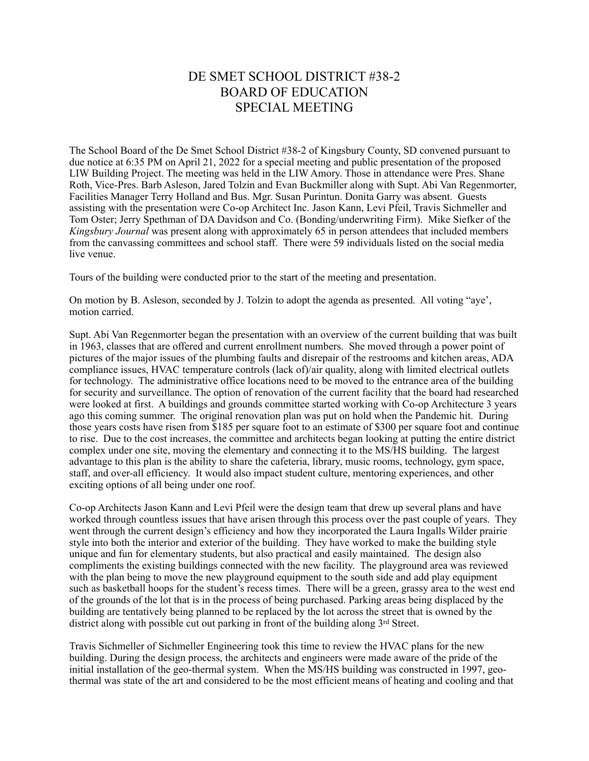## DE SMET SCHOOL DISTRICT #38-2 BOARD OF EDUCATION SPECIAL MEETING

The School Board of the De Smet School District #38-2 of Kingsbury County, SD convened pursuant to due notice at 6:35 PM on April 21, 2022 for a special meeting and public presentation of the proposed LIW Building Project. The meeting was held in the LIW Amory. Those in attendance were Pres. Shane Roth, Vice-Pres. Barb Asleson, Jared Tolzin and Evan Buckmiller along with Supt. Abi Van Regenmorter, Facilities Manager Terry Holland and Bus. Mgr. Susan Purintun. Donita Garry was absent. Guests assisting with the presentation were Co-op Architect Inc. Jason Kann, Levi Pfeil, Travis Sichmeller and Tom Oster; Jerry Spethman of DA Davidson and Co. (Bonding/underwriting Firm). Mike Siefker of the *Kingsbury Journal* was present along with approximately 65 in person attendees that included members from the canvassing committees and school staff. There were 59 individuals listed on the social media live venue.

Tours of the building were conducted prior to the start of the meeting and presentation.

On motion by B. Asleson, seconded by J. Tolzin to adopt the agenda as presented. All voting "aye', motion carried.

Supt. Abi Van Regenmorter began the presentation with an overview of the current building that was built in 1963, classes that are offered and current enrollment numbers. She moved through a power point of pictures of the major issues of the plumbing faults and disrepair of the restrooms and kitchen areas, ADA compliance issues, HVAC temperature controls (lack of)/air quality, along with limited electrical outlets for technology. The administrative office locations need to be moved to the entrance area of the building for security and surveillance. The option of renovation of the current facility that the board had researched were looked at first. A buildings and grounds committee started working with Co-op Architecture 3 years ago this coming summer. The original renovation plan was put on hold when the Pandemic hit. During those years costs have risen from \$185 per square foot to an estimate of \$300 per square foot and continue to rise. Due to the cost increases, the committee and architects began looking at putting the entire district complex under one site, moving the elementary and connecting it to the MS/HS building. The largest advantage to this plan is the ability to share the cafeteria, library, music rooms, technology, gym space, staff, and over-all efficiency. It would also impact student culture, mentoring experiences, and other exciting options of all being under one roof.

Co-op Architects Jason Kann and Levi Pfeil were the design team that drew up several plans and have worked through countless issues that have arisen through this process over the past couple of years. They went through the current design's efficiency and how they incorporated the Laura Ingalls Wilder prairie style into both the interior and exterior of the building. They have worked to make the building style unique and fun for elementary students, but also practical and easily maintained. The design also compliments the existing buildings connected with the new facility. The playground area was reviewed with the plan being to move the new playground equipment to the south side and add play equipment such as basketball hoops for the student's recess times. There will be a green, grassy area to the west end of the grounds of the lot that is in the process of being purchased. Parking areas being displaced by the building are tentatively being planned to be replaced by the lot across the street that is owned by the district along with possible cut out parking in front of the building along 3rd Street.

Travis Sichmeller of Sichmeller Engineering took this time to review the HVAC plans for the new building. During the design process, the architects and engineers were made aware of the pride of the initial installation of the geo-thermal system. When the MS/HS building was constructed in 1997, geothermal was state of the art and considered to be the most efficient means of heating and cooling and that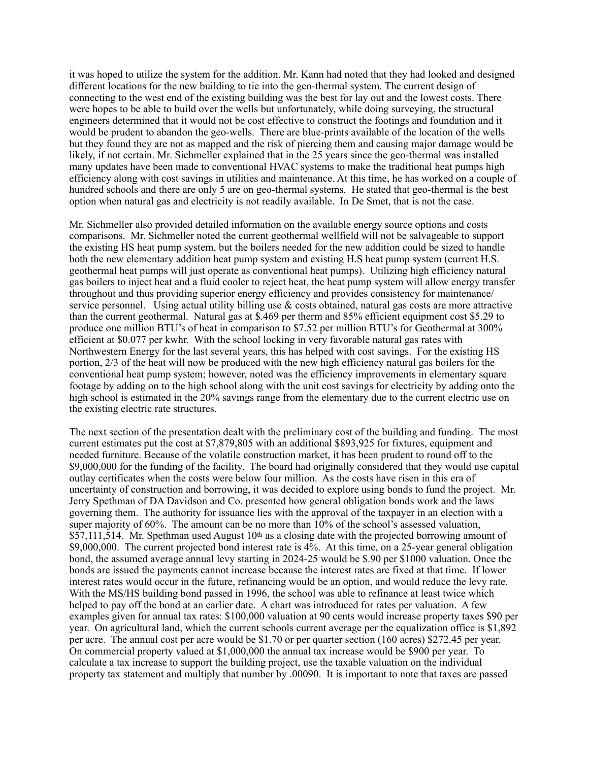it was hoped to utilize the system for the addition. Mr. Kann had noted that they had looked and designed different locations for the new building to tie into the geo-thermal system. The current design of connecting to the west end of the existing building was the best for lay out and the lowest costs. There were hopes to be able to build over the wells but unfortunately, while doing surveying, the structural engineers determined that it would not be cost effective to construct the footings and foundation and it would be prudent to abandon the geo-wells. There are blue-prints available of the location of the wells but they found they are not as mapped and the risk of piercing them and causing major damage would be likely, if not certain. Mr. Sichmeller explained that in the 25 years since the geo-thermal was installed many updates have been made to conventional HVAC systems to make the traditional heat pumps high efficiency along with cost savings in utilities and maintenance. At this time, he has worked on a couple of hundred schools and there are only 5 are on geo-thermal systems. He stated that geo-thermal is the best option when natural gas and electricity is not readily available. In De Smet, that is not the case.

Mr. Sichmeller also provided detailed information on the available energy source options and costs comparisons. Mr. Sichmeller noted the current geothermal wellfield will not be salvageable to support the existing HS heat pump system, but the boilers needed for the new addition could be sized to handle both the new elementary addition heat pump system and existing H.S heat pump system (current H.S. geothermal heat pumps will just operate as conventional heat pumps). Utilizing high efficiency natural gas boilers to inject heat and a fluid cooler to reject heat, the heat pump system will allow energy transfer throughout and thus providing superior energy efficiency and provides consistency for maintenance/ service personnel. Using actual utility billing use & costs obtained, natural gas costs are more attractive than the current geothermal. Natural gas at \$.469 per therm and 85% efficient equipment cost \$5.29 to produce one million BTU's of heat in comparison to \$7.52 per million BTU's for Geothermal at 300% efficient at \$0.077 per kwhr. With the school locking in very favorable natural gas rates with Northwestern Energy for the last several years, this has helped with cost savings. For the existing HS portion, 2/3 of the heat will now be produced with the new high efficiency natural gas boilers for the conventional heat pump system; however, noted was the efficiency improvements in elementary square footage by adding on to the high school along with the unit cost savings for electricity by adding onto the high school is estimated in the 20% savings range from the elementary due to the current electric use on the existing electric rate structures.

The next section of the presentation dealt with the preliminary cost of the building and funding. The most current estimates put the cost at \$7,879,805 with an additional \$893,925 for fixtures, equipment and needed furniture. Because of the volatile construction market, it has been prudent to round off to the \$9,000,000 for the funding of the facility. The board had originally considered that they would use capital outlay certificates when the costs were below four million. As the costs have risen in this era of uncertainty of construction and borrowing, it was decided to explore using bonds to fund the project. Mr. Jerry Spethman of DA Davidson and Co. presented how general obligation bonds work and the laws governing them. The authority for issuance lies with the approval of the taxpayer in an election with a super majority of 60%. The amount can be no more than  $10\%$  of the school's assessed valuation, \$57,111,514. Mr. Spethman used August  $10<sup>th</sup>$  as a closing date with the projected borrowing amount of \$9,000,000. The current projected bond interest rate is 4%. At this time, on a 25-year general obligation bond, the assumed average annual levy starting in 2024-25 would be \$.90 per \$1000 valuation. Once the bonds are issued the payments cannot increase because the interest rates are fixed at that time. If lower interest rates would occur in the future, refinancing would be an option, and would reduce the levy rate. With the MS/HS building bond passed in 1996, the school was able to refinance at least twice which helped to pay off the bond at an earlier date. A chart was introduced for rates per valuation. A few examples given for annual tax rates: \$100,000 valuation at 90 cents would increase property taxes \$90 per year. On agricultural land, which the current schools current average per the equalization office is \$1,892 per acre. The annual cost per acre would be \$1.70 or per quarter section (160 acres) \$272.45 per year. On commercial property valued at \$1,000,000 the annual tax increase would be \$900 per year. To calculate a tax increase to support the building project, use the taxable valuation on the individual property tax statement and multiply that number by .00090. It is important to note that taxes are passed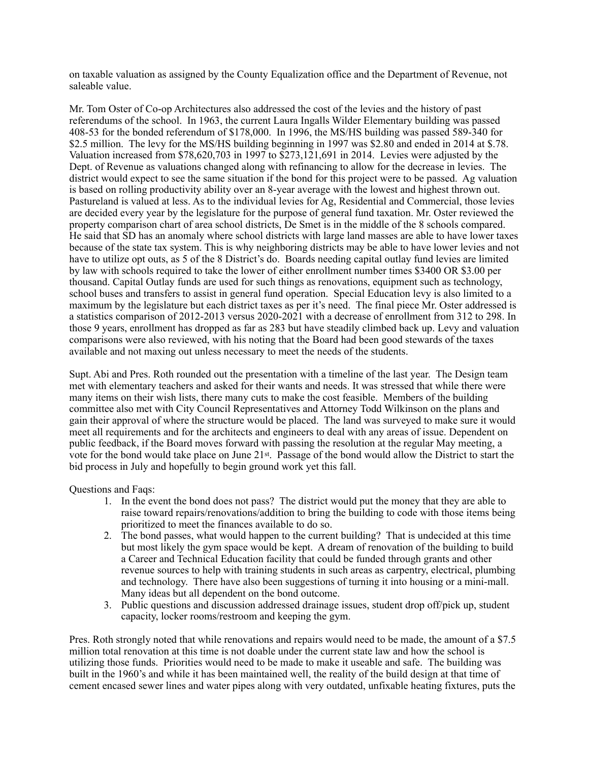on taxable valuation as assigned by the County Equalization office and the Department of Revenue, not saleable value.

Mr. Tom Oster of Co-op Architectures also addressed the cost of the levies and the history of past referendums of the school. In 1963, the current Laura Ingalls Wilder Elementary building was passed 408-53 for the bonded referendum of \$178,000. In 1996, the MS/HS building was passed 589-340 for \$2.5 million. The levy for the MS/HS building beginning in 1997 was \$2.80 and ended in 2014 at \$.78. Valuation increased from \$78,620,703 in 1997 to \$273,121,691 in 2014. Levies were adjusted by the Dept. of Revenue as valuations changed along with refinancing to allow for the decrease in levies. The district would expect to see the same situation if the bond for this project were to be passed. Ag valuation is based on rolling productivity ability over an 8-year average with the lowest and highest thrown out. Pastureland is valued at less. As to the individual levies for Ag, Residential and Commercial, those levies are decided every year by the legislature for the purpose of general fund taxation. Mr. Oster reviewed the property comparison chart of area school districts, De Smet is in the middle of the 8 schools compared. He said that SD has an anomaly where school districts with large land masses are able to have lower taxes because of the state tax system. This is why neighboring districts may be able to have lower levies and not have to utilize opt outs, as 5 of the 8 District's do. Boards needing capital outlay fund levies are limited by law with schools required to take the lower of either enrollment number times \$3400 OR \$3.00 per thousand. Capital Outlay funds are used for such things as renovations, equipment such as technology, school buses and transfers to assist in general fund operation. Special Education levy is also limited to a maximum by the legislature but each district taxes as per it's need. The final piece Mr. Oster addressed is a statistics comparison of 2012-2013 versus 2020-2021 with a decrease of enrollment from 312 to 298. In those 9 years, enrollment has dropped as far as 283 but have steadily climbed back up. Levy and valuation comparisons were also reviewed, with his noting that the Board had been good stewards of the taxes available and not maxing out unless necessary to meet the needs of the students.

Supt. Abi and Pres. Roth rounded out the presentation with a timeline of the last year. The Design team met with elementary teachers and asked for their wants and needs. It was stressed that while there were many items on their wish lists, there many cuts to make the cost feasible. Members of the building committee also met with City Council Representatives and Attorney Todd Wilkinson on the plans and gain their approval of where the structure would be placed. The land was surveyed to make sure it would meet all requirements and for the architects and engineers to deal with any areas of issue. Dependent on public feedback, if the Board moves forward with passing the resolution at the regular May meeting, a vote for the bond would take place on June 21st. Passage of the bond would allow the District to start the bid process in July and hopefully to begin ground work yet this fall.

Questions and Faqs:

- 1. In the event the bond does not pass? The district would put the money that they are able to raise toward repairs/renovations/addition to bring the building to code with those items being prioritized to meet the finances available to do so.
- 2. The bond passes, what would happen to the current building? That is undecided at this time but most likely the gym space would be kept. A dream of renovation of the building to build a Career and Technical Education facility that could be funded through grants and other revenue sources to help with training students in such areas as carpentry, electrical, plumbing and technology. There have also been suggestions of turning it into housing or a mini-mall. Many ideas but all dependent on the bond outcome.
- 3. Public questions and discussion addressed drainage issues, student drop off/pick up, student capacity, locker rooms/restroom and keeping the gym.

Pres. Roth strongly noted that while renovations and repairs would need to be made, the amount of a \$7.5 million total renovation at this time is not doable under the current state law and how the school is utilizing those funds. Priorities would need to be made to make it useable and safe. The building was built in the 1960's and while it has been maintained well, the reality of the build design at that time of cement encased sewer lines and water pipes along with very outdated, unfixable heating fixtures, puts the